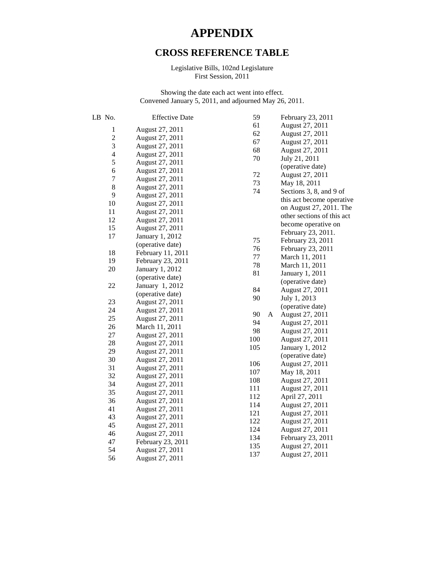## **APPENDIX**

## **CROSS REFERENCE TABLE**

Legislative Bills, 102nd Legislature First Session, 2011

Showing the date each act went into effect. Convened January 5, 2011, and adjourned May 26, 2011.

| LB No.                  | <b>Effective Date</b> | 59  |   | February 23, 2011          |
|-------------------------|-----------------------|-----|---|----------------------------|
| $\mathbf 1$             | August 27, 2011       | 61  |   | August 27, 2011            |
| $\overline{c}$          | August 27, 2011       | 62  |   | August 27, 2011            |
| 3                       | August 27, 2011       | 67  |   | August 27, 2011            |
|                         |                       | 68  |   | August 27, 2011            |
| $\overline{\mathbf{4}}$ | August 27, 2011       | 70  |   | July 21, 2011              |
| 5                       | August 27, 2011       |     |   | (operative date)           |
| 6                       | August 27, 2011       | 72  |   | August 27, 2011            |
| $\boldsymbol{7}$        | August 27, 2011       | 73  |   | May 18, 2011               |
| 8                       | August 27, 2011       | 74  |   | Sections 3, 8, and 9 of    |
| 9                       | August 27, 2011       |     |   | this act become operative  |
| 10                      | August 27, 2011       |     |   | on August 27, 2011. The    |
| 11                      | August 27, 2011       |     |   | other sections of this act |
| 12                      | August 27, 2011       |     |   | become operative on        |
| 15                      | August 27, 2011       |     |   | February 23, 2011.         |
| 17                      | January 1, 2012       | 75  |   | February 23, 2011          |
|                         | (operative date)      | 76  |   | February 23, 2011          |
| 18                      | February 11, 2011     | 77  |   | March 11, 2011             |
| 19                      | February 23, 2011     | 78  |   | March 11, 2011             |
| 20                      | January 1, 2012       | 81  |   | January 1, 2011            |
|                         | (operative date)      |     |   | (operative date)           |
| 22                      | January 1, 2012       | 84  |   | August 27, 2011            |
|                         | (operative date)      | 90  |   | July 1, 2013               |
| 23                      | August 27, 2011       |     |   | (operative date)           |
| 24                      | August 27, 2011       | 90  | A | August 27, 2011            |
| 25                      | August 27, 2011       | 94  |   | August 27, 2011            |
| 26                      | March 11, 2011        | 98  |   | August 27, 2011            |
| 27                      | August 27, 2011       | 100 |   | August 27, 2011            |
| 28                      | August 27, 2011       | 105 |   | January 1, 2012            |
| 29                      | August 27, 2011       |     |   | (operative date)           |
| 30                      | August 27, 2011       | 106 |   | August 27, 2011            |
| 31                      | August 27, 2011       | 107 |   | May 18, 2011               |
| 32                      | August 27, 2011       | 108 |   | August 27, 2011            |
| 34                      | August 27, 2011       | 111 |   | August 27, 2011            |
| 35                      | August 27, 2011       | 112 |   | April 27, 2011             |
| 36                      | August 27, 2011       | 114 |   | August 27, 2011            |
| 41                      | August 27, 2011       | 121 |   | August 27, 2011            |
| 43                      | August 27, 2011       | 122 |   | August 27, 2011            |
| 45                      | August 27, 2011       | 124 |   | August 27, 2011            |
| 46                      | August 27, 2011       | 134 |   | February 23, 2011          |
| 47                      | February 23, 2011     | 135 |   | August 27, 2011            |
| 54                      | August 27, 2011       | 137 |   | August 27, 2011            |
| 56                      | August 27, 2011       |     |   |                            |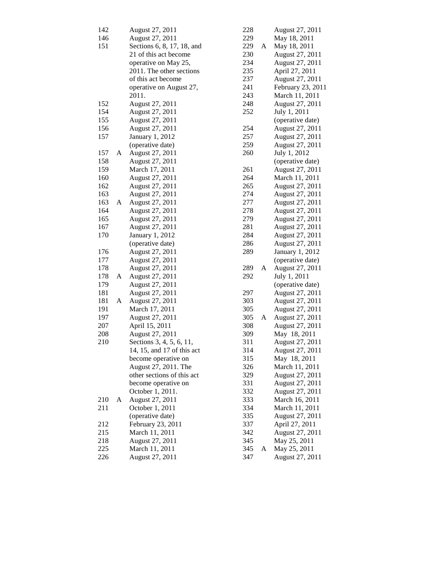| 142 |   | August 27, 2011                  |
|-----|---|----------------------------------|
| 146 |   | August 27, 2011                  |
| 151 |   | Sections 6, 8, 17, 18, and       |
|     |   | 21 of this act become            |
|     |   | operative on May 25,             |
|     |   | 2011. The other sections         |
|     |   | of this act become               |
|     |   |                                  |
|     |   | operative on August 27,<br>2011. |
| 152 |   | August 27, 2011                  |
| 154 |   | August 27, 2011                  |
| 155 |   | August 27, 2011                  |
| 156 |   | August 27, 2011                  |
|     |   |                                  |
| 157 |   | January 1, 2012                  |
|     |   | (operative date)                 |
| 157 | A | August 27, 2011                  |
| 158 |   | August 27, 2011                  |
| 159 |   | March 17, 2011                   |
| 160 |   | August 27, 2011                  |
| 162 |   | August 27, 2011                  |
| 163 |   | August 27, 2011                  |
| 163 | A | August 27, 2011                  |
| 164 |   | August 27, 2011                  |
| 165 |   | August 27, 2011                  |
| 167 |   | August 27, 2011                  |
| 170 |   | January 1, 2012                  |
|     |   | (operative date)                 |
| 176 |   | August 27, 2011                  |
| 177 |   | August 27, 2011                  |
| 178 |   | August 27, 2011                  |
| 178 | A | August 27, 2011                  |
| 179 |   | August 27, 2011                  |
| 181 |   | August 27, 2011                  |
| 181 | A | August 27, 2011                  |
| 191 |   | March 17, 2011                   |
| 197 |   | August 27, 2011                  |
| 207 |   | April 15, 2011                   |
| 208 |   | August 27, 2011                  |
| 210 |   | Sections 3, 4, 5, 6, 11,         |
|     |   |                                  |
|     |   | 14, 15, and 17 of this act       |
|     |   | become operative on              |
|     |   | August 27, 2011. The             |
|     |   | other sections of this act       |
|     |   | become operative on              |
|     |   | October 1, 2011.                 |
| 210 | A | August 27, 2011                  |
| 211 |   | October 1, 2011                  |
|     |   | (operative date)                 |
| 212 |   | February 23, 2011                |
| 215 |   | March 11, 2011                   |
| 218 |   | August 27, 2011                  |
| 225 |   | March 11, 2011                   |
| 226 |   | August 27, 2011                  |

| 228        |   | August 27, 2011                                       |
|------------|---|-------------------------------------------------------|
| 229        |   | May 18, 2011                                          |
| 229        | A | May 18, 2011                                          |
| 230        |   | August 27, 2011                                       |
| 234        |   | August 27, 2011                                       |
| 235        |   | April 27, 2011                                        |
| 237        |   | August 27, 2011                                       |
| 241        |   | February 23, 2011<br>March 11, 2011                   |
| 243        |   |                                                       |
| 248        |   | August 27, 2011                                       |
| 252        |   | July 1, 2011                                          |
|            |   | (operative date)                                      |
| 254        |   | August 27, 2011                                       |
| 257        |   | August 27, 2011                                       |
| 259        |   | August 27, 2011                                       |
| 260        |   | July 1, 2012                                          |
|            |   | (operative date)                                      |
| 261        |   | August 27, 2011                                       |
| 264        |   | March 11, 2011                                        |
| 265        |   | August 27, 2011                                       |
| 274        |   |                                                       |
| 277        |   | August 27, 2011<br>August 27, 2011<br>August 27, 2011 |
| 278        |   |                                                       |
| 279        |   | August 27, 2011                                       |
| 281        |   | August 27, 2011                                       |
| 284        |   | August 27, 2011                                       |
| 286        |   | August 27, 2011                                       |
| 289        |   | January 1, 2012                                       |
|            |   | (operative date)                                      |
| 289        | A | August 27, 2011                                       |
| 292        |   | July 1, 2011                                          |
|            |   | (operative date)                                      |
| 297<br>303 |   | August 27, 2011                                       |
| 305        |   | August 27, 2011<br>August 27, 2011                    |
| 305        | А | August 27, 2011                                       |
| 308        |   | August 27, 2011                                       |
| 309        |   | May 18, 2011                                          |
| 311        |   | August 27, 2011                                       |
| 314        |   | August 27, 2011                                       |
| 315        |   | May 18, 2011                                          |
| 326        |   | March 11, 2011                                        |
| 329        |   | August 27, 2011                                       |
| 331        |   | August 27, 2011                                       |
| 332        |   | August 27, 2011                                       |
| 333        |   |                                                       |
| 334        |   | March 16, 2011<br>March 11, 2011                      |
| 335        |   | August 27, 2011                                       |
| 337        |   | April 27, 2011                                        |
| 342        |   | August 27, 2011                                       |
| 345        |   | May 25, 2011                                          |
| 345        | A | May 25, 2011                                          |
| 347        |   | August 27, 2011                                       |
|            |   |                                                       |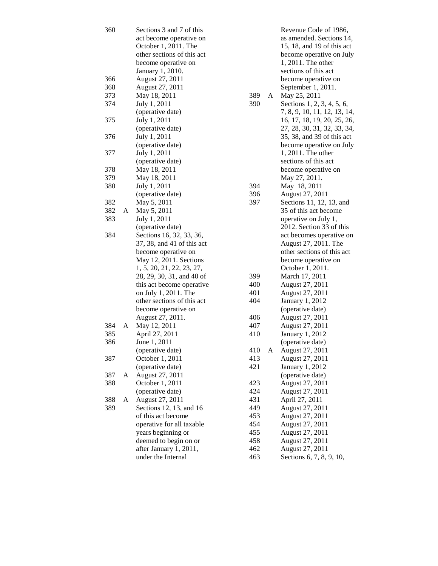| 360 |   | Sections 3 and 7 of this   |          | Revenue Code of 1986,        |  |
|-----|---|----------------------------|----------|------------------------------|--|
|     |   | act become operative on    |          | as amended. Sections 14,     |  |
|     |   | October 1, 2011. The       |          | 15, 18, and 19 of this act   |  |
|     |   | other sections of this act |          | become operative on July     |  |
|     |   | become operative on        |          | 1, 2011. The other           |  |
|     |   | January 1, 2010.           |          | sections of this act         |  |
| 366 |   | August 27, 2011            |          | become operative on          |  |
| 368 |   | August 27, 2011            |          | September 1, 2011.           |  |
| 373 |   | May 18, 2011               | 389<br>A | May 25, 2011                 |  |
| 374 |   | July 1, 2011               | 390      | Sections 1, 2, 3, 4, 5, 6,   |  |
|     |   | (operative date)           |          | 7, 8, 9, 10, 11, 12, 13, 14, |  |
| 375 |   | July 1, 2011               |          | 16, 17, 18, 19, 20, 25, 26,  |  |
|     |   | (operative date)           |          | 27, 28, 30, 31, 32, 33, 34,  |  |
| 376 |   | July 1, 2011               |          | 35, 38, and 39 of this act   |  |
|     |   | (operative date)           |          | become operative on July     |  |
|     |   |                            |          |                              |  |
| 377 |   | July 1, 2011               |          | 1, 2011. The other           |  |
|     |   | (operative date)           |          | sections of this act         |  |
| 378 |   | May 18, 2011               |          | become operative on          |  |
| 379 |   | May 18, 2011               |          | May 27, 2011.                |  |
| 380 |   | July 1, 2011               | 394      | May 18, 2011                 |  |
|     |   | (operative date)           | 396      | August 27, 2011              |  |
| 382 |   | May 5, 2011                | 397      | Sections 11, 12, 13, and     |  |
| 382 | A | May 5, 2011                |          | 35 of this act become        |  |
| 383 |   | July 1, 2011               |          | operative on July 1,         |  |
|     |   | (operative date)           |          | 2012. Section 33 of this     |  |
| 384 |   | Sections 16, 32, 33, 36,   |          | act becomes operative on     |  |
|     |   | 37, 38, and 41 of this act |          | August 27, 2011. The         |  |
|     |   | become operative on        |          | other sections of this act   |  |
|     |   | May 12, 2011. Sections     |          | become operative on          |  |
|     |   | 1, 5, 20, 21, 22, 23, 27,  |          | October 1, 2011.             |  |
|     |   | 28, 29, 30, 31, and 40 of  | 399      | March 17, 2011               |  |
|     |   | this act become operative  | 400      | August 27, 2011              |  |
|     |   | on July 1, 2011. The       | 401      | August 27, 2011              |  |
|     |   | other sections of this act | 404      | January 1, 2012              |  |
|     |   | become operative on        |          | (operative date)             |  |
|     |   | August 27, 2011.           | 406      | August 27, 2011              |  |
| 384 | A | May 12, 2011               | 407      | August 27, 2011              |  |
| 385 |   | April 27, 2011             | 410      | January 1, 2012              |  |
| 386 |   | June 1, 2011               |          | (operative date)             |  |
|     |   | (operative date)           | 410<br>A | August 27, 2011              |  |
| 387 |   | October 1, 2011            | 413      | August 27, 2011              |  |
|     |   | (operative date)           | 421      | January 1, 2012              |  |
| 387 | A | August 27, 2011            |          | (operative date)             |  |
| 388 |   | October 1, 2011            | 423      | August 27, 2011              |  |
|     |   | (operative date)           | 424      | August 27, 2011              |  |
| 388 | A | August 27, 2011            | 431      | April 27, 2011               |  |
| 389 |   | Sections 12, 13, and 16    | 449      | August 27, 2011              |  |
|     |   | of this act become         | 453      | August 27, 2011              |  |
|     |   | operative for all taxable  | 454      | August 27, 2011              |  |
|     |   | years beginning or         | 455      | August 27, 2011              |  |
|     |   | deemed to begin on or      | 458      | August 27, 2011              |  |
|     |   | after January 1, 2011,     | 462      | August 27, 2011              |  |
|     |   | under the Internal         | 463      | Sections 6, 7, 8, 9, 10,     |  |
|     |   |                            |          |                              |  |